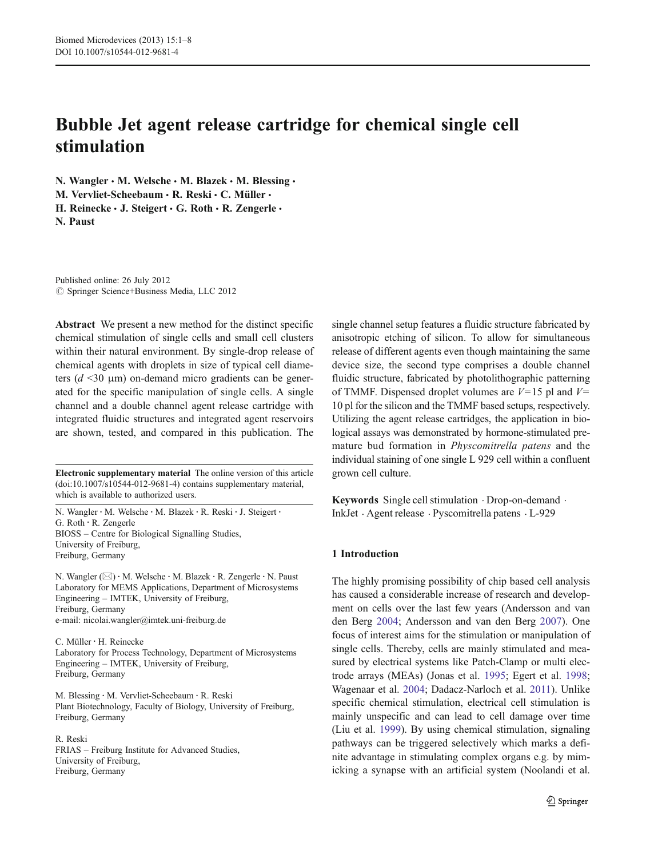# Bubble Jet agent release cartridge for chemical single cell stimulation

N. Wangler · M. Welsche · M. Blazek · M. Blessing · M. Vervliet-Scheebaum · R. Reski · C. Müller · H. Reinecke · J. Steigert · G. Roth · R. Zengerle · N. Paust

Published online: 26 July 2012  $\oslash$  Springer Science+Business Media, LLC 2012

Abstract We present a new method for the distinct specific chemical stimulation of single cells and small cell clusters within their natural environment. By single-drop release of chemical agents with droplets in size of typical cell diameters  $(d \le 30 \mu m)$  on-demand micro gradients can be generated for the specific manipulation of single cells. A single channel and a double channel agent release cartridge with integrated fluidic structures and integrated agent reservoirs are shown, tested, and compared in this publication. The

Electronic supplementary material The online version of this article (doi:[10.1007/s10544-012-9681-4](http://dx.doi.org/10.1007/s10544-012-9681-4)) contains supplementary material, which is available to authorized users.

N. Wangler : M. Welsche : M. Blazek : R. Reski : J. Steigert : G. Roth : R. Zengerle BIOSS – Centre for Biological Signalling Studies, University of Freiburg, Freiburg, Germany

N. Wangler (⊠) · M. Welsche · M. Blazek · R. Zengerle · N. Paust Laboratory for MEMS Applications, Department of Microsystems Engineering – IMTEK, University of Freiburg, Freiburg, Germany e-mail: nicolai.wangler@imtek.uni-freiburg.de

C. Müller : H. Reinecke Laboratory for Process Technology, Department of Microsystems Engineering – IMTEK, University of Freiburg, Freiburg, Germany

M. Blessing : M. Vervliet-Scheebaum : R. Reski Plant Biotechnology, Faculty of Biology, University of Freiburg, Freiburg, Germany

R. Reski FRIAS – Freiburg Institute for Advanced Studies, University of Freiburg, Freiburg, Germany

single channel setup features a fluidic structure fabricated by anisotropic etching of silicon. To allow for simultaneous release of different agents even though maintaining the same device size, the second type comprises a double channel fluidic structure, fabricated by photolithographic patterning of TMMF. Dispensed droplet volumes are  $V=15$  pl and  $V=$ 10 pl for the silicon and the TMMF based setups, respectively. Utilizing the agent release cartridges, the application in biological assays was demonstrated by hormone-stimulated premature bud formation in Physcomitrella patens and the individual staining of one single L 929 cell within a confluent grown cell culture.

Keywords Single cell stimulation . Drop-on-demand . InkJet . Agent release . Pyscomitrella patens . L-929

# 1 Introduction

The highly promising possibility of chip based cell analysis has caused a considerable increase of research and development on cells over the last few years (Andersson and van den Berg [2004](#page-7-0); Andersson and van den Berg [2007](#page-7-0)). One focus of interest aims for the stimulation or manipulation of single cells. Thereby, cells are mainly stimulated and measured by electrical systems like Patch-Clamp or multi electrode arrays (MEAs) (Jonas et al. [1995](#page-7-0); Egert et al. [1998;](#page-7-0) Wagenaar et al. [2004;](#page-7-0) Dadacz-Narloch et al. [2011](#page-7-0)). Unlike specific chemical stimulation, electrical cell stimulation is mainly unspecific and can lead to cell damage over time (Liu et al. [1999\)](#page-7-0). By using chemical stimulation, signaling pathways can be triggered selectively which marks a definite advantage in stimulating complex organs e.g. by mimicking a synapse with an artificial system (Noolandi et al.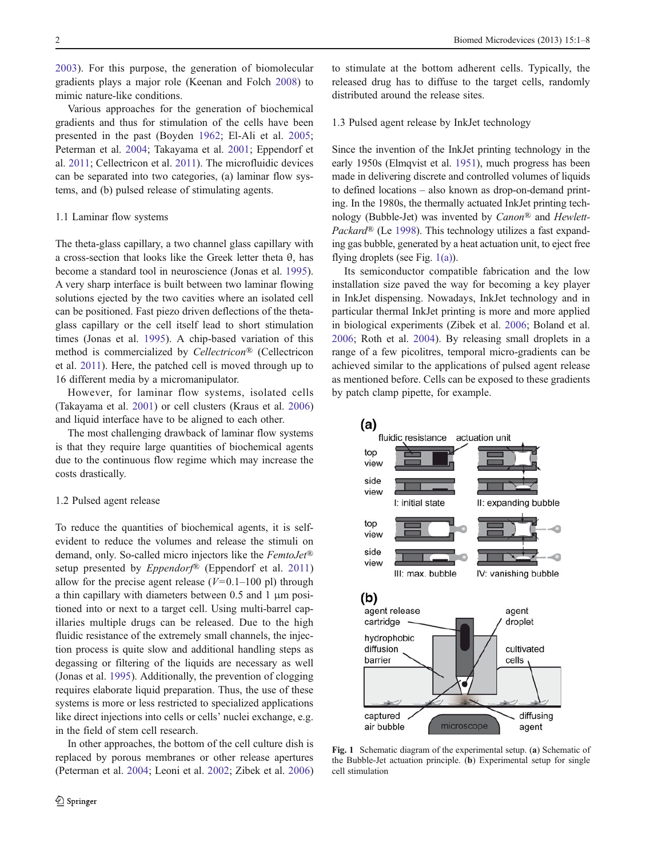<span id="page-1-0"></span>[2003](#page-7-0)). For this purpose, the generation of biomolecular gradients plays a major role (Keenan and Folch [2008](#page-7-0)) to mimic nature-like conditions.

Various approaches for the generation of biochemical gradients and thus for stimulation of the cells have been presented in the past (Boyden [1962](#page-7-0); El-Ali et al. [2005](#page-7-0); Peterman et al. [2004;](#page-7-0) Takayama et al. [2001](#page-7-0); Eppendorf et al. [2011](#page-7-0); Cellectricon et al. [2011](#page-7-0)). The microfluidic devices can be separated into two categories, (a) laminar flow systems, and (b) pulsed release of stimulating agents.

## 1.1 Laminar flow systems

The theta-glass capillary, a two channel glass capillary with a cross-section that looks like the Greek letter theta θ, has become a standard tool in neuroscience (Jonas et al. [1995](#page-7-0)). A very sharp interface is built between two laminar flowing solutions ejected by the two cavities where an isolated cell can be positioned. Fast piezo driven deflections of the thetaglass capillary or the cell itself lead to short stimulation times (Jonas et al. [1995\)](#page-7-0). A chip-based variation of this method is commercialized by Cellectricon® (Cellectricon et al. [2011\)](#page-7-0). Here, the patched cell is moved through up to 16 different media by a micromanipulator.

However, for laminar flow systems, isolated cells (Takayama et al. [2001](#page-7-0)) or cell clusters (Kraus et al. [2006\)](#page-7-0) and liquid interface have to be aligned to each other.

The most challenging drawback of laminar flow systems is that they require large quantities of biochemical agents due to the continuous flow regime which may increase the costs drastically.

#### 1.2 Pulsed agent release

To reduce the quantities of biochemical agents, it is selfevident to reduce the volumes and release the stimuli on demand, only. So-called micro injectors like the FemtoJet® setup presented by *Eppendorf*<sup>®</sup> (Eppendorf et al. [2011\)](#page-7-0) allow for the precise agent release  $(V=0.1-100 \text{ pl})$  through a thin capillary with diameters between 0.5 and 1 μm positioned into or next to a target cell. Using multi-barrel capillaries multiple drugs can be released. Due to the high fluidic resistance of the extremely small channels, the injection process is quite slow and additional handling steps as degassing or filtering of the liquids are necessary as well (Jonas et al. [1995\)](#page-7-0). Additionally, the prevention of clogging requires elaborate liquid preparation. Thus, the use of these systems is more or less restricted to specialized applications like direct injections into cells or cells' nuclei exchange, e.g. in the field of stem cell research.

In other approaches, the bottom of the cell culture dish is replaced by porous membranes or other release apertures (Peterman et al. [2004](#page-7-0); Leoni et al. [2002;](#page-7-0) Zibek et al. [2006\)](#page-7-0)

to stimulate at the bottom adherent cells. Typically, the released drug has to diffuse to the target cells, randomly distributed around the release sites.

## 1.3 Pulsed agent release by InkJet technology

Since the invention of the InkJet printing technology in the early 1950s (Elmqvist et al. [1951](#page-7-0)), much progress has been made in delivering discrete and controlled volumes of liquids to defined locations – also known as drop-on-demand printing. In the 1980s, the thermally actuated InkJet printing technology (Bubble-Jet) was invented by Canon® and Hewlett-Packard<sup>®</sup> (Le [1998\)](#page-7-0). This technology utilizes a fast expanding gas bubble, generated by a heat actuation unit, to eject free flying droplets (see Fig. 1(a)).

Its semiconductor compatible fabrication and the low installation size paved the way for becoming a key player in InkJet dispensing. Nowadays, InkJet technology and in particular thermal InkJet printing is more and more applied in biological experiments (Zibek et al. [2006;](#page-7-0) Boland et al. [2006](#page-7-0); Roth et al. [2004](#page-7-0)). By releasing small droplets in a range of a few picolitres, temporal micro-gradients can be achieved similar to the applications of pulsed agent release as mentioned before. Cells can be exposed to these gradients by patch clamp pipette, for example.



Fig. 1 Schematic diagram of the experimental setup. (a) Schematic of the Bubble-Jet actuation principle. (b) Experimental setup for single cell stimulation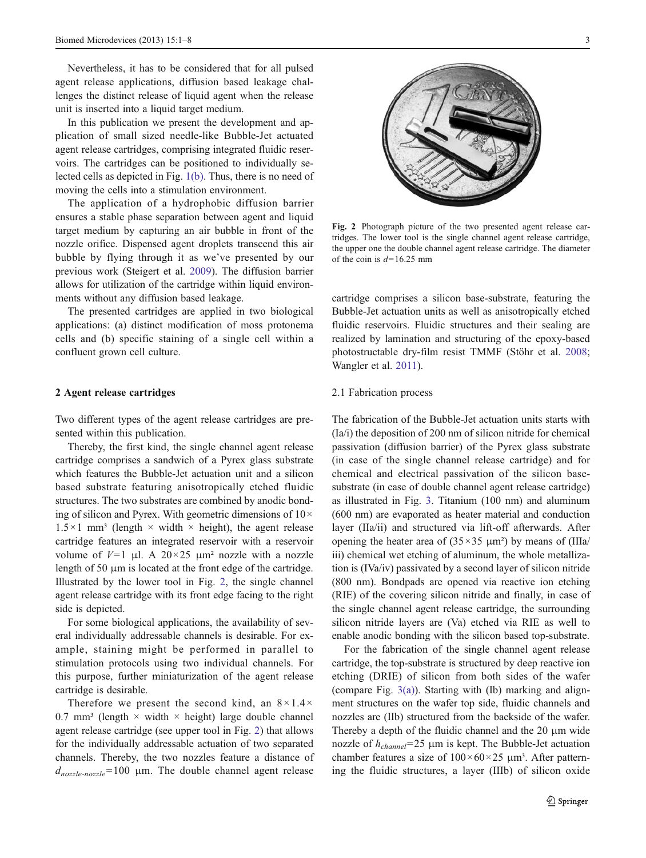Nevertheless, it has to be considered that for all pulsed agent release applications, diffusion based leakage challenges the distinct release of liquid agent when the release unit is inserted into a liquid target medium.

In this publication we present the development and application of small sized needle-like Bubble-Jet actuated agent release cartridges, comprising integrated fluidic reservoirs. The cartridges can be positioned to individually selected cells as depicted in Fig. [1\(b\).](#page-1-0) Thus, there is no need of moving the cells into a stimulation environment.

The application of a hydrophobic diffusion barrier ensures a stable phase separation between agent and liquid target medium by capturing an air bubble in front of the nozzle orifice. Dispensed agent droplets transcend this air bubble by flying through it as we've presented by our previous work (Steigert et al. [2009\)](#page-7-0). The diffusion barrier allows for utilization of the cartridge within liquid environments without any diffusion based leakage.

The presented cartridges are applied in two biological applications: (a) distinct modification of moss protonema cells and (b) specific staining of a single cell within a confluent grown cell culture.

### 2 Agent release cartridges

Two different types of the agent release cartridges are presented within this publication.

Thereby, the first kind, the single channel agent release cartridge comprises a sandwich of a Pyrex glass substrate which features the Bubble-Jet actuation unit and a silicon based substrate featuring anisotropically etched fluidic structures. The two substrates are combined by anodic bonding of silicon and Pyrex. With geometric dimensions of  $10 \times$  $1.5 \times 1$  mm<sup>3</sup> (length  $\times$  width  $\times$  height), the agent release cartridge features an integrated reservoir with a reservoir volume of  $V=1$  μl. A  $20\times25$  μm<sup>2</sup> nozzle with a nozzle length of 50 μm is located at the front edge of the cartridge. Illustrated by the lower tool in Fig. 2, the single channel agent release cartridge with its front edge facing to the right side is depicted.

For some biological applications, the availability of several individually addressable channels is desirable. For example, staining might be performed in parallel to stimulation protocols using two individual channels. For this purpose, further miniaturization of the agent release cartridge is desirable.

Therefore we present the second kind, an  $8 \times 1.4 \times$ 0.7 mm<sup>3</sup> (length  $\times$  width  $\times$  height) large double channel agent release cartridge (see upper tool in Fig. 2) that allows for the individually addressable actuation of two separated channels. Thereby, the two nozzles feature a distance of  $d_{nozzle-nozzle}=100$  μm. The double channel agent release



Fig. 2 Photograph picture of the two presented agent release cartridges. The lower tool is the single channel agent release cartridge, the upper one the double channel agent release cartridge. The diameter of the coin is  $d=16.25$  mm

cartridge comprises a silicon base-substrate, featuring the Bubble-Jet actuation units as well as anisotropically etched fluidic reservoirs. Fluidic structures and their sealing are realized by lamination and structuring of the epoxy-based photostructable dry-film resist TMMF (Stöhr et al. [2008;](#page-7-0) Wangler et al. [2011\)](#page-7-0).

## 2.1 Fabrication process

The fabrication of the Bubble-Jet actuation units starts with (Ia/i) the deposition of 200 nm of silicon nitride for chemical passivation (diffusion barrier) of the Pyrex glass substrate (in case of the single channel release cartridge) and for chemical and electrical passivation of the silicon basesubstrate (in case of double channel agent release cartridge) as illustrated in Fig. [3.](#page-3-0) Titanium (100 nm) and aluminum (600 nm) are evaporated as heater material and conduction layer (IIa/ii) and structured via lift-off afterwards. After opening the heater area of  $(35 \times 35 \mu m^2)$  by means of  $(IIIa/$ iii) chemical wet etching of aluminum, the whole metallization is (IVa/iv) passivated by a second layer of silicon nitride (800 nm). Bondpads are opened via reactive ion etching (RIE) of the covering silicon nitride and finally, in case of the single channel agent release cartridge, the surrounding silicon nitride layers are (Va) etched via RIE as well to enable anodic bonding with the silicon based top-substrate.

For the fabrication of the single channel agent release cartridge, the top-substrate is structured by deep reactive ion etching (DRIE) of silicon from both sides of the wafer (compare Fig. [3\(a\)](#page-3-0)). Starting with (Ib) marking and alignment structures on the wafer top side, fluidic channels and nozzles are (IIb) structured from the backside of the wafer. Thereby a depth of the fluidic channel and the 20 μm wide nozzle of  $h_{channel}$ =25 μm is kept. The Bubble-Jet actuation chamber features a size of  $100 \times 60 \times 25 \mu m^3$ . After patterning the fluidic structures, a layer (IIIb) of silicon oxide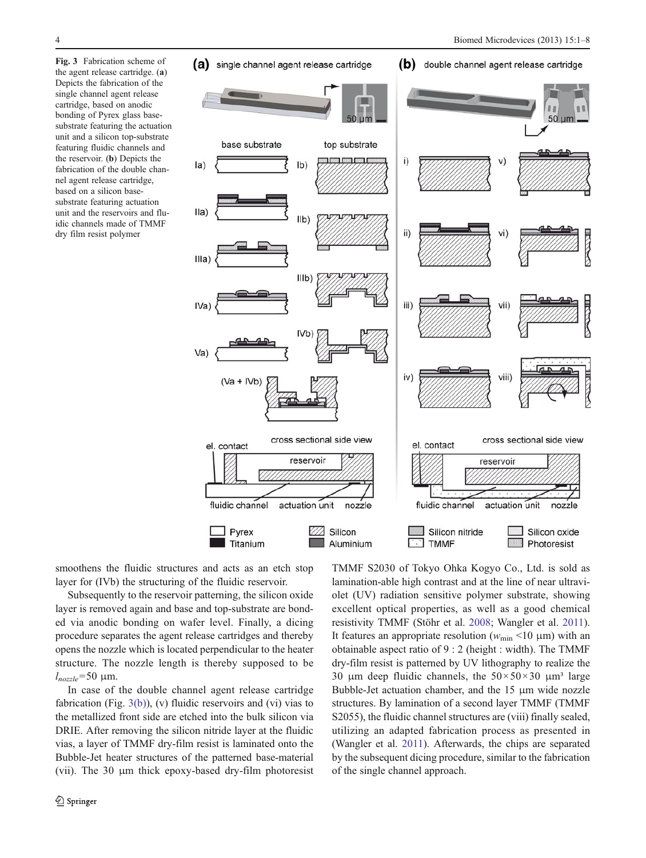<span id="page-3-0"></span>Fig. 3 Fabrication scheme of the agent release cartridge. (a) Depicts the fabrication of the single channel agent release cartridge, based on anodic bonding of Pyrex glass basesubstrate featuring the actuation unit and a silicon top-substrate featuring fluidic channels and the reservoir. (b) Depicts the fabrication of the double channel agent release cartridge, based on a silicon basesubstrate featuring actuation unit and the reservoirs and fluidic channels made of TMMF dry film resist polymer



smoothens the fluidic structures and acts as an etch stop layer for (IVb) the structuring of the fluidic reservoir.

Subsequently to the reservoir patterning, the silicon oxide layer is removed again and base and top-substrate are bonded via anodic bonding on wafer level. Finally, a dicing procedure separates the agent release cartridges and thereby opens the nozzle which is located perpendicular to the heater structure. The nozzle length is thereby supposed to be  $l_{nozzle}$ =50 μm.

In case of the double channel agent release cartridge fabrication (Fig. 3(b)), (v) fluidic reservoirs and (vi) vias to the metallized front side are etched into the bulk silicon via DRIE. After removing the silicon nitride layer at the fluidic vias, a layer of TMMF dry-film resist is laminated onto the Bubble-Jet heater structures of the patterned base-material (vii). The 30 μm thick epoxy-based dry-film photoresist

TMMF S2030 of Tokyo Ohka Kogyo Co., Ltd. is sold as lamination-able high contrast and at the line of near ultraviolet (UV) radiation sensitive polymer substrate, showing excellent optical properties, as well as a good chemical resistivity TMMF (Stöhr et al. [2008;](#page-7-0) Wangler et al. [2011\)](#page-7-0). It features an appropriate resolution ( $w_{\text{min}}$  <10 µm) with an obtainable aspect ratio of 9 : 2 (height : width). The TMMF dry-film resist is patterned by UV lithography to realize the 30 μm deep fluidic channels, the  $50 \times 50 \times 30$  μm<sup>3</sup> large Bubble-Jet actuation chamber, and the 15 μm wide nozzle structures. By lamination of a second layer TMMF (TMMF S2055), the fluidic channel structures are (viii) finally sealed, utilizing an adapted fabrication process as presented in (Wangler et al. [2011](#page-7-0)). Afterwards, the chips are separated by the subsequent dicing procedure, similar to the fabrication of the single channel approach.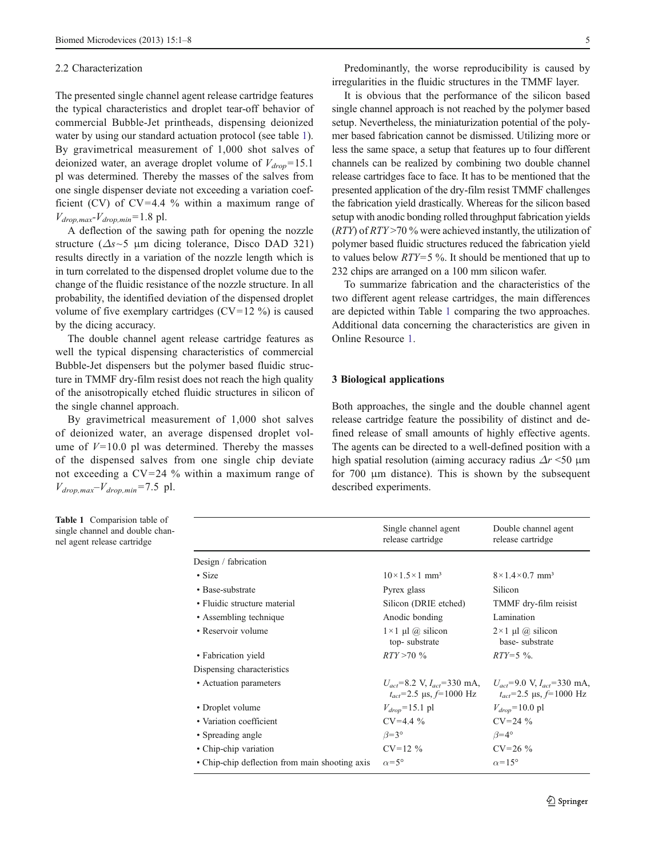#### 2.2 Characterization

The presented single channel agent release cartridge features the typical characteristics and droplet tear-off behavior of commercial Bubble-Jet printheads, dispensing deionized water by using our standard actuation protocol (see table 1). By gravimetrical measurement of 1,000 shot salves of deionized water, an average droplet volume of  $V_{drop}$ =15.1 pl was determined. Thereby the masses of the salves from one single dispenser deviate not exceeding a variation coefficient (CV) of  $CV=4.4$  % within a maximum range of  $V_{drop,max}$ - $V_{drop,min}$ =1.8 pl.

A deflection of the sawing path for opening the nozzle structure ( $\Delta s \sim 5$  μm dicing tolerance, Disco DAD 321) results directly in a variation of the nozzle length which is in turn correlated to the dispensed droplet volume due to the change of the fluidic resistance of the nozzle structure. In all probability, the identified deviation of the dispensed droplet volume of five exemplary cartridges ( $CV=12$ %) is caused by the dicing accuracy.

The double channel agent release cartridge features as well the typical dispensing characteristics of commercial Bubble-Jet dispensers but the polymer based fluidic structure in TMMF dry-film resist does not reach the high quality of the anisotropically etched fluidic structures in silicon of the single channel approach.

By gravimetrical measurement of 1,000 shot salves of deionized water, an average dispensed droplet volume of  $V=10.0$  pl was determined. Thereby the masses of the dispensed salves from one single chip deviate not exceeding a  $CV=24$  % within a maximum range of  $V_{drop,max}$ – $V_{drop,min}$ =7.5 pl.

Predominantly, the worse reproducibility is caused by irregularities in the fluidic structures in the TMMF layer.

It is obvious that the performance of the silicon based single channel approach is not reached by the polymer based setup. Nevertheless, the miniaturization potential of the polymer based fabrication cannot be dismissed. Utilizing more or less the same space, a setup that features up to four different channels can be realized by combining two double channel release cartridges face to face. It has to be mentioned that the presented application of the dry-film resist TMMF challenges the fabrication yield drastically. Whereas for the silicon based setup with anodic bonding rolled throughput fabrication yields  $(RTY)$  of  $RTY > 70$ % were achieved instantly, the utilization of polymer based fluidic structures reduced the fabrication yield to values below  $RTY=5$ %. It should be mentioned that up to 232 chips are arranged on a 100 mm silicon wafer.

To summarize fabrication and the characteristics of the two different agent release cartridges, the main differences are depicted within Table 1 comparing the two approaches. Additional data concerning the characteristics are given in Online Resource 1.

#### 3 Biological applications

Both approaches, the single and the double channel agent release cartridge feature the possibility of distinct and defined release of small amounts of highly effective agents. The agents can be directed to a well-defined position with a high spatial resolution (aiming accuracy radius  $\Delta r$  <50 µm for 700 μm distance). This is shown by the subsequent described experiments.

| ion table of<br>double chan-<br>artridge |                                                | Single channel agent<br>release cartridge  | Double channel agent<br>release cartridge                                                                        |
|------------------------------------------|------------------------------------------------|--------------------------------------------|------------------------------------------------------------------------------------------------------------------|
|                                          | Design / fabrication                           |                                            |                                                                                                                  |
|                                          | $\cdot$ Size                                   | $10\times1.5\times1$ mm <sup>3</sup>       | $8\times1.4\times0.7$ mm <sup>3</sup>                                                                            |
|                                          | • Base-substrate                               | Pyrex glass                                | Silicon                                                                                                          |
|                                          | • Fluidic structure material                   | Silicon (DRIE etched)                      | TMMF dry-film reisist                                                                                            |
|                                          | • Assembling technique                         | Anodic bonding                             | Lamination                                                                                                       |
|                                          | • Reservoir volume                             | $1 \times 1$ µl @ silicon<br>top-substrate | $2 \times 1$ µl @ silicon<br>base-substrate                                                                      |
|                                          | • Fabrication yield                            | $RTY > 70 \%$                              | $RTY = 5 \%$ .                                                                                                   |
|                                          | Dispensing characteristics                     |                                            |                                                                                                                  |
|                                          | • Actuation parameters                         | $t_{act}$ =2.5 µs, $f$ =1000 Hz            | $U_{act} = 8.2$ V, $I_{act} = 330$ mA, $U_{act} = 9.0$ V, $I_{act} = 330$ mA,<br>$t_{act}$ =2.5 µs, $f$ =1000 Hz |
|                                          | • Droplet volume                               | $V_{drop}$ =15.1 pl                        | $V_{drop}$ =10.0 pl                                                                                              |
|                                          | • Variation coefficient                        | $CV=4.4\%$                                 | $CV=24\%$                                                                                                        |
|                                          | • Spreading angle                              | $\beta = 3^{\circ}$                        | $\beta = 4^{\circ}$                                                                                              |
|                                          | • Chip-chip variation                          | $CV=12\%$                                  | $CV=26\%$                                                                                                        |
|                                          | • Chip-chip deflection from main shooting axis | $\alpha = 5^{\circ}$                       | $\alpha$ =15°                                                                                                    |

Table 1 Comparis single channel and nel agent release ca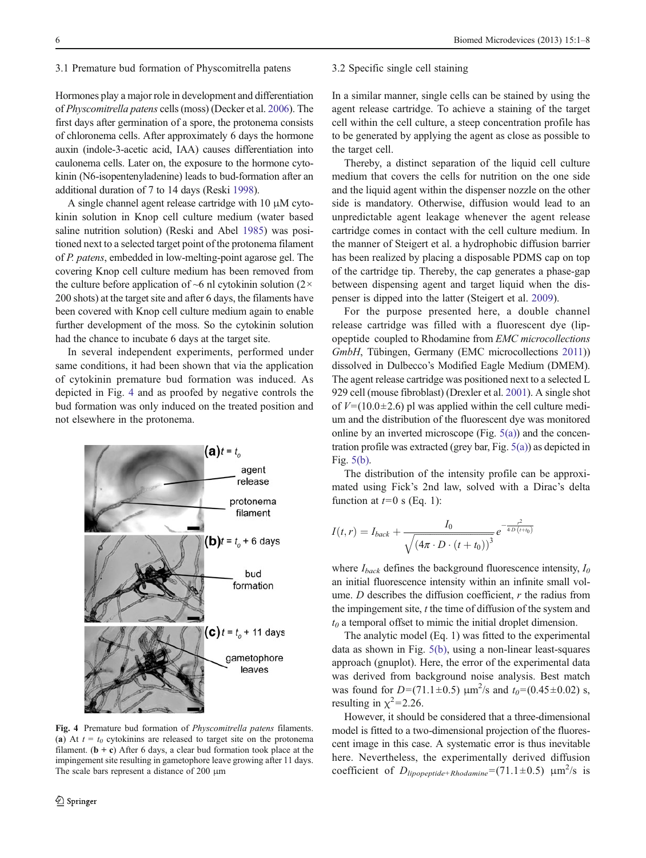## 3.1 Premature bud formation of Physcomitrella patens

Hormones play a major role in development and differentiation of Physcomitrella patens cells (moss) (Decker et al. [2006\)](#page-7-0). The first days after germination of a spore, the protonema consists of chloronema cells. After approximately 6 days the hormone auxin (indole-3-acetic acid, IAA) causes differentiation into caulonema cells. Later on, the exposure to the hormone cytokinin (N6-isopentenyladenine) leads to bud-formation after an additional duration of 7 to 14 days (Reski [1998](#page-7-0)).

A single channel agent release cartridge with 10 μM cytokinin solution in Knop cell culture medium (water based saline nutrition solution) (Reski and Abel [1985](#page-7-0)) was positioned next to a selected target point of the protonema filament of P. patens, embedded in low-melting-point agarose gel. The covering Knop cell culture medium has been removed from the culture before application of  $~6$  nl cytokinin solution (2 $\times$ 200 shots) at the target site and after 6 days, the filaments have been covered with Knop cell culture medium again to enable further development of the moss. So the cytokinin solution had the chance to incubate 6 days at the target site.

In several independent experiments, performed under same conditions, it had been shown that via the application of cytokinin premature bud formation was induced. As depicted in Fig. 4 and as proofed by negative controls the bud formation was only induced on the treated position and not elsewhere in the protonema.



Fig. 4 Premature bud formation of Physcomitrella patens filaments. (a) At  $t = t_0$  cytokinins are released to target site on the protonema filament.  $(b + c)$  After 6 days, a clear bud formation took place at the impingement site resulting in gametophore leave growing after 11 days. The scale bars represent a distance of 200 μm

#### 3.2 Specific single cell staining

In a similar manner, single cells can be stained by using the agent release cartridge. To achieve a staining of the target cell within the cell culture, a steep concentration profile has to be generated by applying the agent as close as possible to the target cell.

Thereby, a distinct separation of the liquid cell culture medium that covers the cells for nutrition on the one side and the liquid agent within the dispenser nozzle on the other side is mandatory. Otherwise, diffusion would lead to an unpredictable agent leakage whenever the agent release cartridge comes in contact with the cell culture medium. In the manner of Steigert et al. a hydrophobic diffusion barrier has been realized by placing a disposable PDMS cap on top of the cartridge tip. Thereby, the cap generates a phase-gap between dispensing agent and target liquid when the dispenser is dipped into the latter (Steigert et al. [2009](#page-7-0)).

For the purpose presented here, a double channel release cartridge was filled with a fluorescent dye (lipopeptide coupled to Rhodamine from EMC microcollections GmbH, Tübingen, Germany (EMC microcollections [2011\)](#page-7-0)) dissolved in Dulbecco's Modified Eagle Medium (DMEM). The agent release cartridge was positioned next to a selected L 929 cell (mouse fibroblast) (Drexler et al. [2001](#page-7-0)). A single shot of  $V=(10.0\pm2.6)$  pl was applied within the cell culture medium and the distribution of the fluorescent dye was monitored online by an inverted microscope (Fig.  $5(a)$ ) and the concentration profile was extracted (grey bar, Fig. [5\(a\)\)](#page-6-0) as depicted in Fig. [5\(b\)](#page-6-0).

The distribution of the intensity profile can be approximated using Fick's 2nd law, solved with a Dirac's delta function at  $t=0$  s (Eq. 1):

$$
I(t,r) = I_{back} + \frac{I_0}{\sqrt{(4\pi \cdot D \cdot (t + t_0))^3}} e^{-\frac{r^2}{4D(t+t_0)}}
$$

where  $I_{back}$  defines the background fluorescence intensity,  $I_0$ an initial fluorescence intensity within an infinite small volume. D describes the diffusion coefficient,  $r$  the radius from the impingement site,  $t$  the time of diffusion of the system and  $t_0$  a temporal offset to mimic the initial droplet dimension.

The analytic model (Eq. 1) was fitted to the experimental data as shown in Fig. [5\(b\)](#page-6-0), using a non-linear least-squares approach (gnuplot). Here, the error of the experimental data was derived from background noise analysis. Best match was found for  $D=(71.1\pm0.5) \mu m^2/s$  and  $t_0=(0.45\pm0.02)$  s, resulting in  $\chi^2$ =2.26.

However, it should be considered that a three-dimensional model is fitted to a two-dimensional projection of the fluorescent image in this case. A systematic error is thus inevitable here. Nevertheless, the experimentally derived diffusion coefficient of  $D_{lipopeptide+Rhodamine} = (71.1 \pm 0.5)$   $\mu$ m<sup>2</sup>/s is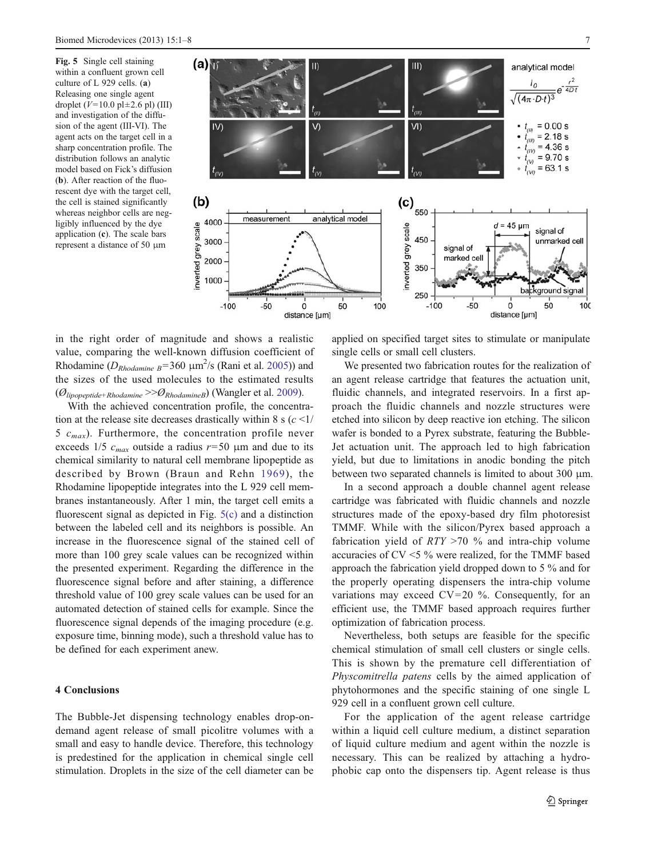<span id="page-6-0"></span>Fig. 5 Single cell staining within a confluent grown cell culture of L 929 cells. (a) Releasing one single agent droplet ( $V=10.0$  pl $\pm 2.6$  pl) (III) and investigation of the diffusion of the agent (III-VI). The agent acts on the target cell in a sharp concentration profile. The distribution follows an analytic model based on Fick's diffusion (b). After reaction of the fluorescent dye with the target cell, the cell is stained significantly whereas neighbor cells are negligibly influenced by the dye application (c). The scale bars represent a distance of 50 μm



in the right order of magnitude and shows a realistic value, comparing the well-known diffusion coefficient of Rhodamine ( $D_{Rhodamine B}$ =360  $\mu$ m<sup>2</sup>/s (Rani et al. [2005\)](#page-7-0)) and the sizes of the used molecules to the estimated results  $(\mathcal{O}_{lipopeptide+Rhodamine} >> \mathcal{O}_{RhodamineB})$  (Wangler et al. [2009\)](#page-7-0).

With the achieved concentration profile, the concentration at the release site decreases drastically within 8 s  $(c \leq 1)$ 5  $c_{max}$ ). Furthermore, the concentration profile never exceeds 1/5  $c_{max}$  outside a radius  $r=50$  μm and due to its chemical similarity to natural cell membrane lipopeptide as described by Brown (Braun and Rehn [1969](#page-7-0)), the Rhodamine lipopeptide integrates into the L 929 cell membranes instantaneously. After 1 min, the target cell emits a fluorescent signal as depicted in Fig. 5(c) and a distinction between the labeled cell and its neighbors is possible. An increase in the fluorescence signal of the stained cell of more than 100 grey scale values can be recognized within the presented experiment. Regarding the difference in the fluorescence signal before and after staining, a difference threshold value of 100 grey scale values can be used for an automated detection of stained cells for example. Since the fluorescence signal depends of the imaging procedure (e.g. exposure time, binning mode), such a threshold value has to be defined for each experiment anew.

# 4 Conclusions

The Bubble-Jet dispensing technology enables drop-ondemand agent release of small picolitre volumes with a small and easy to handle device. Therefore, this technology is predestined for the application in chemical single cell stimulation. Droplets in the size of the cell diameter can be applied on specified target sites to stimulate or manipulate single cells or small cell clusters.

We presented two fabrication routes for the realization of an agent release cartridge that features the actuation unit, fluidic channels, and integrated reservoirs. In a first approach the fluidic channels and nozzle structures were etched into silicon by deep reactive ion etching. The silicon wafer is bonded to a Pyrex substrate, featuring the Bubble-Jet actuation unit. The approach led to high fabrication yield, but due to limitations in anodic bonding the pitch between two separated channels is limited to about 300 μm.

In a second approach a double channel agent release cartridge was fabricated with fluidic channels and nozzle structures made of the epoxy-based dry film photoresist TMMF. While with the silicon/Pyrex based approach a fabrication yield of  $RTY > 70$  % and intra-chip volume accuracies of CV <5 % were realized, for the TMMF based approach the fabrication yield dropped down to 5 % and for the properly operating dispensers the intra-chip volume variations may exceed  $CV=20$  %. Consequently, for an efficient use, the TMMF based approach requires further optimization of fabrication process.

Nevertheless, both setups are feasible for the specific chemical stimulation of small cell clusters or single cells. This is shown by the premature cell differentiation of Physcomitrella patens cells by the aimed application of phytohormones and the specific staining of one single L 929 cell in a confluent grown cell culture.

For the application of the agent release cartridge within a liquid cell culture medium, a distinct separation of liquid culture medium and agent within the nozzle is necessary. This can be realized by attaching a hydrophobic cap onto the dispensers tip. Agent release is thus